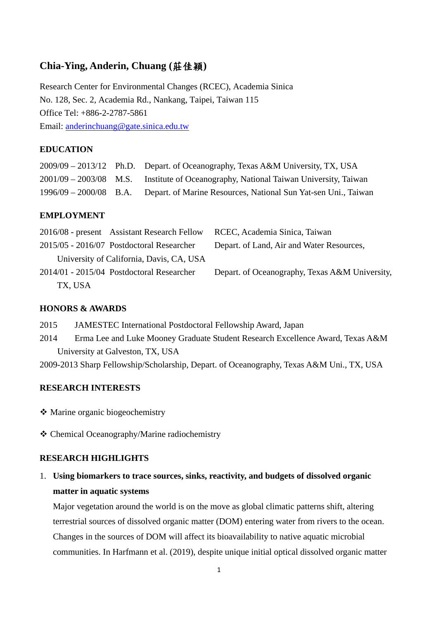## **Chia-Ying, Anderin, Chuang (**莊佳穎**)**

Research Center for Environmental Changes (RCEC), Academia Sinica No. 128, Sec. 2, Academia Rd., Nankang, Taipei, Taiwan 115 Office Tel: +886-2-2787-5861 Email: [anderinchuang@gate.sinica.edu.tw](mailto:anderinchuang@gate.sinica.edu.tw)

## **EDUCATION**

|                          | 2009/09 – 2013/12 Ph.D. Depart. of Oceanography, Texas A&M University, TX, USA |
|--------------------------|--------------------------------------------------------------------------------|
| $2001/09 - 2003/08$ M.S. | Institute of Oceanography, National Taiwan University, Taiwan                  |
| $1996/09 - 2000/08$ B.A. | Depart. of Marine Resources, National Sun Yat-sen Uni., Taiwan                 |

### **EMPLOYMENT**

| RCEC, Academia Sinica, Taiwan                  |                                                                                                                                                                                     |
|------------------------------------------------|-------------------------------------------------------------------------------------------------------------------------------------------------------------------------------------|
| Depart. of Land, Air and Water Resources,      |                                                                                                                                                                                     |
|                                                |                                                                                                                                                                                     |
| Depart. of Oceanography, Texas A&M University, |                                                                                                                                                                                     |
|                                                |                                                                                                                                                                                     |
|                                                | 2016/08 - present Assistant Research Fellow<br>2015/05 - 2016/07 Postdoctoral Researcher<br>University of California, Davis, CA, USA<br>$2014/01 - 2015/04$ Postdoctoral Researcher |

#### **HONORS & AWARDS**

- 2015 JAMESTEC International Postdoctoral Fellowship Award, Japan
- 2014 Erma Lee and Luke Mooney Graduate Student Research Excellence Award, Texas A&M University at Galveston, TX, USA
- 2009-2013 Sharp Fellowship/Scholarship, Depart. of Oceanography, Texas A&M Uni., TX, USA

## **RESEARCH INTERESTS**

- Marine organic biogeochemistry
- Chemical Oceanography/Marine radiochemistry

### **RESEARCH HIGHLIGHTS**

1. **Using biomarkers to trace sources, sinks, reactivity, and budgets of dissolved organic matter in aquatic systems**

Major vegetation around the world is on the move as global climatic patterns shift, altering terrestrial sources of dissolved organic matter (DOM) entering water from rivers to the ocean. Changes in the sources of DOM will affect its bioavailability to native aquatic microbial communities. In Harfmann et al. (2019), despite unique initial optical dissolved organic matter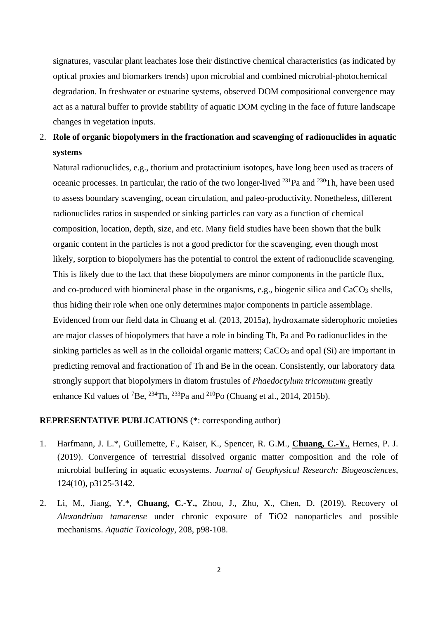signatures, vascular plant leachates lose their distinctive chemical characteristics (as indicated by optical proxies and biomarkers trends) upon microbial and combined microbial-photochemical degradation. In freshwater or estuarine systems, observed DOM compositional convergence may act as a natural buffer to provide stability of aquatic DOM cycling in the face of future landscape changes in vegetation inputs.

# 2. **Role of organic biopolymers in the fractionation and scavenging of radionuclides in aquatic systems**

Natural radionuclides, e.g., thorium and protactinium isotopes, have long been used as tracers of oceanic processes. In particular, the ratio of the two longer-lived  $^{231}Pa$  and  $^{230}Th$ , have been used to assess boundary scavenging, ocean circulation, and paleo-productivity. Nonetheless, different radionuclides ratios in suspended or sinking particles can vary as a function of chemical composition, location, depth, size, and etc. Many field studies have been shown that the bulk organic content in the particles is not a good predictor for the scavenging, even though most likely, sorption to biopolymers has the potential to control the extent of radionuclide scavenging. This is likely due to the fact that these biopolymers are minor components in the particle flux, and co-produced with biomineral phase in the organisms, e.g., biogenic silica and CaCO<sub>3</sub> shells, thus hiding their role when one only determines major components in particle assemblage. Evidenced from our field data in Chuang et al. (2013, 2015a), hydroxamate siderophoric moieties are major classes of biopolymers that have a role in binding Th, Pa and Po radionuclides in the sinking particles as well as in the colloidal organic matters; CaCO<sub>3</sub> and opal (Si) are important in predicting removal and fractionation of Th and Be in the ocean. Consistently, our laboratory data strongly support that biopolymers in diatom frustules of *Phaedoctylum tricomutum* greatly enhance Kd values of <sup>7</sup>Be, <sup>234</sup>Th, <sup>233</sup>Pa and <sup>210</sup>Po (Chuang et al., 2014, 2015b).

#### **REPRESENTATIVE PUBLICATIONS** (\*: corresponding author)

- 1. Harfmann, J. L.\*, Guillemette, F., Kaiser, K., Spencer, R. G.M., **Chuang, C.-Y.**, Hernes, P. J. (2019). Convergence of terrestrial dissolved organic matter composition and the role of microbial buffering in aquatic ecosystems. *Journal of Geophysical Research: Biogeosciences*, 124(10), p3125-3142.
- 2. Li, M., Jiang, Y.\*, **Chuang, C.-Y.,** Zhou, J., Zhu, X., Chen, D. (2019). Recovery of *Alexandrium tamarense* under chronic exposure of TiO2 nanoparticles and possible mechanisms. *Aquatic Toxicology*, 208, p98-108.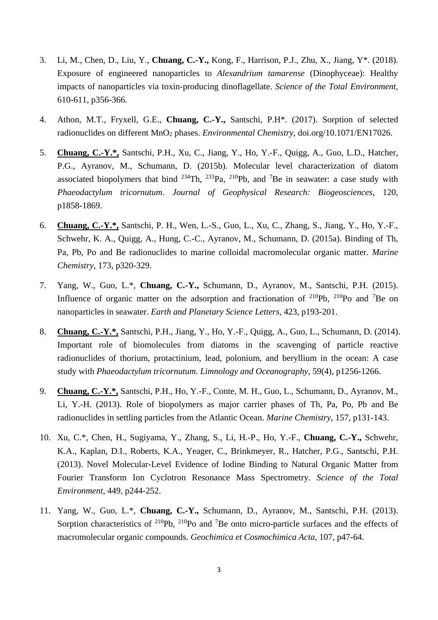- 3. Li, M., Chen, D., Liu, Y., **Chuang, C.-Y.,** Kong, F., Harrison, P.J., Zhu, X., Jiang, Y\*. (2018). Exposure of engineered nanoparticles to *Alexandrium tamarense* (Dinophyceae): Healthy impacts of nanoparticles via toxin-producing dinoflagellate. *Science of the Total Environment*, 610-611, p356-366.
- 4. Athon, M.T., Fryxell, G.E., **Chuang, C.-Y.,** Santschi, P.H\*. (2017). Sorption of selected radionuclides on different MnO2 phases. *Environmental Chemistry*, doi.org/10.1071/EN17026.
- 5. **Chuang, C.-Y.\*,** Santschi, P.H., Xu, C., Jiang, Y., Ho, Y.-F., Quigg, A., Guo, L.D., Hatcher, P.G., Ayranov, M., Schumann, D. (2015b). Molecular level characterization of diatom associated biopolymers that bind  $^{234}$ Th,  $^{233}$ Pa,  $^{210}$ Pb, and <sup>7</sup>Be in seawater: a case study with *Phaeodactylum tricornutum*. *Journal of Geophysical Research: Biogeosciences*, 120, p1858-1869.
- 6. **Chuang, C.-Y.\*,** Santschi, P. H., Wen, L.-S., Guo, L., Xu, C., Zhang, S., Jiang, Y., Ho, Y.-F., Schwehr, K. A., Quigg, A., Hung, C.-C., Ayranov, M., Schumann, D. (2015a). Binding of Th, Pa, Pb, Po and Be radionuclides to marine colloidal macromolecular organic matter. *Marine Chemistry*, 173, p320-329.
- 7. Yang, W., Guo, L.\*, **Chuang, C.-Y.,** Schumann, D., Ayranov, M., Santschi, P.H. (2015). Influence of organic matter on the adsorption and fractionation of  $^{210}Pb$ ,  $^{210}Po$  and <sup>7</sup>Be on nanoparticles in seawater. *Earth and Planetary Science Letters*, 423, p193-201.
- 8. **Chuang, C.-Y.\*,** Santschi, P.H., Jiang, Y., Ho, Y.-F., Quigg, A., Guo, L., Schumann, D. (2014). Important role of biomolecules from diatoms in the scavenging of particle reactive radionuclides of thorium, protactinium, lead, polonium, and beryllium in the ocean: A case study with *Phaeodactylum tricornutum*. *Limnology and Oceanography*, 59(4), p1256-1266.
- 9. **Chuang, C.-Y.\*,** Santschi, P.H., Ho, Y.-F., Conte, M. H., Guo, L., Schumann, D., Ayranov, M., Li, Y.-H. (2013). Role of biopolymers as major carrier phases of Th, Pa, Po, Pb and Be radionuclides in settling particles from the Atlantic Ocean. *Marine Chemistry*, 157, p131-143.
- 10. Xu, C.\*, Chen, H., Sugiyama, Y., Zhang, S., Li, H.-P., Ho, Y.-F., **Chuang, C.-Y.,** Schwehr, K.A., Kaplan, D.I., Roberts, K.A., Yeager, C., Brinkmeyer, R., Hatcher, P.G., Santschi, P.H. (2013). Novel Molecular-Level Evidence of Iodine Binding to Natural Organic Matter from Fourier Transform Ion Cyclotron Resonance Mass Spectrometry. *Science of the Total Environment*, 449, p244-252.
- 11. Yang, W., Guo, L.\*, **Chuang, C.-Y.,** Schumann, D., Ayranov, M., Santschi, P.H. (2013). Sorption characteristics of  $2^{10}Pb$ ,  $2^{10}Po$  and <sup>7</sup>Be onto micro-particle surfaces and the effects of macromolecular organic compounds. *Geochimica et Cosmochimica Acta*, 107, p47-64.